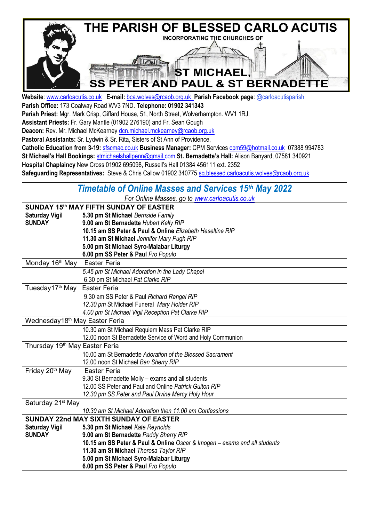

**Website**: [www.carloacutis.co.uk](http://www.carloacutis.co.uk/) **E-mail:** [bca.wolves@rcaob.org.uk](mailto:bca.wolves@rcaob.org.uk) **Parish Facebook page**: @carloacutisparish **Parish Office:** 173 Coalway Road WV3 7ND. **Telephone: 01902 341343**

**Parish Priest:** Mgr. Mark Crisp, Giffard House, 51, North Street, Wolverhampton. WV1 1RJ.

**Assistant Priests:** Fr. Gary Mantle (01902 276190) and Fr. Sean Gough

Deacon: Rev. Mr. Michael McKearney [dcn.michael.mckearney@rcaob.org.uk](mailto:dcn.michael.mckearney@rcaob.org.uk)

**Pastoral Assistants:** Sr. Lydwin & Sr. Rita, Sisters of St Ann of Providence,

**Catholic Education from 3-19:** sfscmac.co.uk **Business Manager:** CPM Services [cpm59@hotmail.co.uk](mailto:cpm59@hotmail.co.uk) 07388 994783 **St Michael's Hall Bookings:** [stmichaelshallpenn@gmail.com](mailto:stmichaelshallpenn@gmail.com) **St. Bernadette's Hall:** Alison Banyard, 07581 340921 **Hospital Chaplaincy** New Cross 01902 695098, Russell's Hall 01384 456111 ext. 2352 **Safeguarding Representatives:** Steve & Chris Callow 01902 34077[5 sg.blessed.carloacutis.wolves@rcaob.org.uk](mailto:sg.blessed.carloacutis.wolves@rcaob.org.uk)

| <b>Timetable of Online Masses and Services 15th May 2022</b> |                                                                           |  |  |  |  |  |
|--------------------------------------------------------------|---------------------------------------------------------------------------|--|--|--|--|--|
| For Online Masses, go to www.carloacutis.co.uk               |                                                                           |  |  |  |  |  |
| SUNDAY 15th MAY FIFTH SUNDAY OF EASTER                       |                                                                           |  |  |  |  |  |
| <b>Saturday Vigil</b>                                        | 5.30 pm St Michael Bernside Family                                        |  |  |  |  |  |
| <b>SUNDAY</b>                                                | 9.00 am St Bernadette Hubert Kelly RIP                                    |  |  |  |  |  |
|                                                              | 10.15 am SS Peter & Paul & Online Elizabeth Heseltine RIP                 |  |  |  |  |  |
|                                                              | 11.30 am St Michael Jennifer Mary Pugh RIP                                |  |  |  |  |  |
|                                                              | 5.00 pm St Michael Syro-Malabar Liturgy                                   |  |  |  |  |  |
|                                                              | 6.00 pm SS Peter & Paul Pro Populo                                        |  |  |  |  |  |
| Monday 16 <sup>th</sup> May                                  | <b>Easter Feria</b>                                                       |  |  |  |  |  |
|                                                              | 5.45 pm St Michael Adoration in the Lady Chapel                           |  |  |  |  |  |
|                                                              | 6.30 pm St Michael Pat Clarke RIP                                         |  |  |  |  |  |
| Tuesday17 <sup>th</sup> May                                  | <b>Easter Feria</b>                                                       |  |  |  |  |  |
|                                                              | 9.30 am SS Peter & Paul Richard Rangel RIP                                |  |  |  |  |  |
|                                                              | 12.30 pm St Michael Funeral Mary Holder RIP                               |  |  |  |  |  |
|                                                              | 4.00 pm St Michael Vigil Reception Pat Clarke RIP                         |  |  |  |  |  |
| Wednesday18 <sup>th</sup> May Easter Feria                   |                                                                           |  |  |  |  |  |
|                                                              | 10.30 am St Michael Requiem Mass Pat Clarke RIP                           |  |  |  |  |  |
|                                                              | 12.00 noon St Bernadette Service of Word and Holy Communion               |  |  |  |  |  |
| Thursday 19 <sup>th</sup> May Easter Feria                   |                                                                           |  |  |  |  |  |
|                                                              | 10.00 am St Bernadette Adoration of the Blessed Sacrament                 |  |  |  |  |  |
|                                                              | 12.00 noon St Michael Ben Sherry RIP                                      |  |  |  |  |  |
| Friday 20 <sup>th</sup> May                                  | <b>Easter Feria</b>                                                       |  |  |  |  |  |
|                                                              | 9.30 St Bernadette Molly - exams and all students                         |  |  |  |  |  |
|                                                              | 12.00 SS Peter and Paul and Online Patrick Guiton RIP                     |  |  |  |  |  |
|                                                              | 12.30 pm SS Peter and Paul Divine Mercy Holy Hour                         |  |  |  |  |  |
| Saturday 21 <sup>st</sup> May                                |                                                                           |  |  |  |  |  |
|                                                              | 10.30 am St Michael Adoration then 11.00 am Confessions                   |  |  |  |  |  |
|                                                              | <b>SUNDAY 22nd MAY SIXTH SUNDAY OF EASTER</b>                             |  |  |  |  |  |
| <b>Saturday Vigil</b>                                        | 5.30 pm St Michael Kate Reynolds                                          |  |  |  |  |  |
| <b>SUNDAY</b>                                                | 9.00 am St Bernadette Paddy Sherry RIP                                    |  |  |  |  |  |
|                                                              | 10.15 am SS Peter & Paul & Online Oscar & Imogen - exams and all students |  |  |  |  |  |
|                                                              | 11.30 am St Michael Theresa Taylor RIP                                    |  |  |  |  |  |
|                                                              | 5.00 pm St Michael Syro-Malabar Liturgy                                   |  |  |  |  |  |
|                                                              | 6.00 pm SS Peter & Paul Pro Populo                                        |  |  |  |  |  |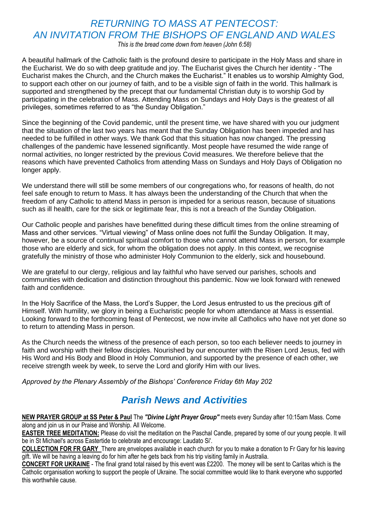### *RETURNING TO MASS AT PENTECOST: AN INVITATION FROM THE BISHOPS OF ENGLAND AND WALES*

*This is the bread come down from heaven (John 6:58)*

A beautiful hallmark of the Catholic faith is the profound desire to participate in the Holy Mass and share in the Eucharist. We do so with deep gratitude and joy. The Eucharist gives the Church her identity - "The Eucharist makes the Church, and the Church makes the Eucharist." It enables us to worship Almighty God, to support each other on our journey of faith, and to be a visible sign of faith in the world. This hallmark is supported and strengthened by the precept that our fundamental Christian duty is to worship God by participating in the celebration of Mass. Attending Mass on Sundays and Holy Days is the greatest of all privileges, sometimes referred to as "the Sunday Obligation."

Since the beginning of the Covid pandemic, until the present time, we have shared with you our judgment that the situation of the last two years has meant that the Sunday Obligation has been impeded and has needed to be fulfilled in other ways. We thank God that this situation has now changed. The pressing challenges of the pandemic have lessened significantly. Most people have resumed the wide range of normal activities, no longer restricted by the previous Covid measures. We therefore believe that the reasons which have prevented Catholics from attending Mass on Sundays and Holy Days of Obligation no longer apply.

We understand there will still be some members of our congregations who, for reasons of health, do not feel safe enough to return to Mass. It has always been the understanding of the Church that when the freedom of any Catholic to attend Mass in person is impeded for a serious reason, because of situations such as ill health, care for the sick or legitimate fear, this is not a breach of the Sunday Obligation.

Our Catholic people and parishes have benefitted during these difficult times from the online streaming of Mass and other services. "Virtual viewing" of Mass online does not fulfil the Sunday Obligation. It may, however, be a source of continual spiritual comfort to those who cannot attend Mass in person, for example those who are elderly and sick, for whom the obligation does not apply. In this context, we recognise gratefully the ministry of those who administer Holy Communion to the elderly, sick and housebound.

We are grateful to our clergy, religious and lay faithful who have served our parishes, schools and communities with dedication and distinction throughout this pandemic. Now we look forward with renewed faith and confidence.

In the Holy Sacrifice of the Mass, the Lord's Supper, the Lord Jesus entrusted to us the precious gift of Himself. With humility, we glory in being a Eucharistic people for whom attendance at Mass is essential. Looking forward to the forthcoming feast of Pentecost, we now invite all Catholics who have not yet done so to return to attending Mass in person.

As the Church needs the witness of the presence of each person, so too each believer needs to journey in faith and worship with their fellow disciples. Nourished by our encounter with the Risen Lord Jesus, fed with His Word and His Body and Blood in Holy Communion, and supported by the presence of each other, we receive strength week by week, to serve the Lord and glorify Him with our lives.

*Approved by the Plenary Assembly of the Bishops' Conference Friday 6th May 202*

## *Parish News and Activities*

**NEW PRAYER GROUP at SS Peter & Paul** The *"Divine Light Prayer Group"* meets every Sunday after 10:15am Mass. Come along and join us in our Praise and Worship. All Welcome.

**EASTER TREE MEDITATION:** Please do visit the meditation on the Paschal Candle, prepared by some of our young people. It will be in St Michael's across Eastertide to celebrate and encourage: Laudato Si'.

**COLLECTION FOR FR GARY** There are envelopes available in each church for you to make a donation to Fr Gary for his leaving gift. We will be having a leaving do for him after he gets back from his trip visiting family in Australia.

**CONCERT FOR UKRAINE** - The final grand total raised by this event was £2200. The money will be sent to Caritas which is the Catholic organisation working to support the people of Ukraine. The social committee would like to thank everyone who supported this worthwhile cause.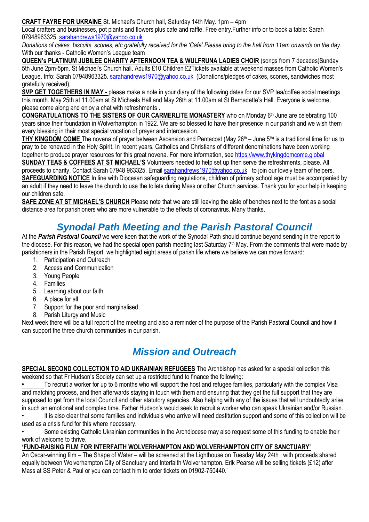**CRAFT FAYRE FOR UKRAINE** St. Michael's Church hall, Saturday 14th May. 1pm – 4pm

Local crafters and businesses, pot plants and flowers plus cafe and raffle. Free entry.Further info or to book a table: Sarah 07948963325[. sarahandrews1970@yahoo.co.uk](mailto:sarahandrews1970@yahoo.co.uk)

*Donations of cakes, biscuits, scones, etc gratefully received for the 'Cafe'.Please bring to the hall from 11am onwards on the day.* With our thanks - Catholic Women's League team

**QUEEN's PLATINUM JUBILEE CHARITY AFTERNOON TEA & WULFRUNA LADIES CHOIR** (songs from 7 decades)Sunday 5th June 2pm-5pm. St Michael's Church hall. Adults £10 Children £2Tickets available at weekend masses from Catholic Women's League. Info: Sarah 07948963325. [sarahandrews1970@yahoo.co.uk](mailto:sarahandrews1970@yahoo.co.uk) (Donations/pledges of cakes, scones, sandwiches most gratefully received).

**SVP GET TOGETHERS IN MAY -** please make a note in your diary of the following dates for our SVP tea/coffee social meetings this month. May 25th at 11.00am at St Michaels Hall and May 26th at 11.00am at St Bernadette's Hall. Everyone is welcome, please come along and enjoy a chat with refreshments .

**CONGRATULATIONS TO THE SISTERS OF OUR CARMERLITE MONASTERY** who on Monday 6<sup>th</sup> June are celebrating 100 years since their foundation in Wolverhampton in 1922. We are so blessed to have their presence in our parish and we wish them every blessing in their most special vocation of prayer and intercession.

THY KINGDOM COME The novena of prayer between Ascension and Pentecost (May 26<sup>th</sup> – June 5<sup>th)</sup> is a traditional time for us to pray to be renewed in the Holy Spirit. In recent years, Catholics and Christians of different denominations have been working together to produce prayer resources for this great novena. For more information, see https://www.thykingdomcome.global

**SUNDAY TEAS & COFFEES AT ST MICHAEL'S** Volunteers needed to help set up then serve the refreshments, please. All proceeds to charity. Contact Sarah 07948 963325. Emai[l sarahandrews1970@yahoo.co.uk](mailto:sarahandrews1970@yahoo.co.uk) to join our lovely team of helpers. **SAFEGUARDING NOTICE** In line with Diocesan safeguarding regulations, children of primary school age must be accompanied by an adult if they need to leave the church to use the toilets during Mass or other Church services. Thank you for your help in keeping our children safe.

**SAFE ZONE AT ST MICHAEL'S CHURCH** Please note that we are still leaving the aisle of benches next to the font as a social distance area for parishioners who are more vulnerable to the effects of coronavirus. Many thanks.

## *Synodal Path Meeting and the Parish Pastoral Council*

At the *Parish Pastoral Council* we were keen that the work of the Synodal Path should continue beyond sending in the report to the diocese. For this reason, we had the special open parish meeting last Saturday 7<sup>th</sup> May. From the comments that were made by parishioners in the Parish Report, we highlighted eight areas of parish life where we believe we can move forward:

- 1. Participation and Outreach
- 2. Access and Communication
- 3. Young People
- 4. Families
- 5. Learning about our faith
- 6. A place for all
- 7. Support for the poor and marginalised
- 8. Parish Liturgy and Music

Next week there will be a full report of the meeting and also a reminder of the purpose of the Parish Pastoral Council and how it can support the three church communities in our parish.

# *Mission and Outreach*

**SPECIAL SECOND COLLECTION TO AID UKRAINIAN REFUGEES** The Archbishop has asked for a special collection this weekend so that Fr Hudson's Society can set up a restricted fund to finance the following:

**•** To recruit a worker for up to 6 months who will support the host and refugee families, particularly with the complex Visa and matching process, and then afterwards staying in touch with them and ensuring that they get the full support that they are supposed to get from the local Council and other statutory agencies. Also helping with any of the issues that will undoubtedly arise in such an emotional and complex time. Father Hudson's would seek to recruit a worker who can speak Ukrainian and/or Russian.

• It is also clear that some families and individuals who arrive will need destitution support and some of this collection will be used as a crisis fund for this where necessary.

• Some existing Catholic Ukrainian communities in the Archdiocese may also request some of this funding to enable their work of welcome to thrive.

#### **'FUND-RAISING FILM FOR INTERFAITH WOLVERHAMPTON AND WOLVERHAMPTON CITY OF SANCTUARY'**

An Oscar-winning film – The Shape of Water – will be screened at the Lighthouse on Tuesday May 24th , with proceeds shared equally between Wolverhampton City of Sanctuary and Interfaith Wolverhampton. Erik Pearse will be selling tickets (£12) after Mass at SS Peter & Paul or you can contact him to order tickets on 01902-750440.'